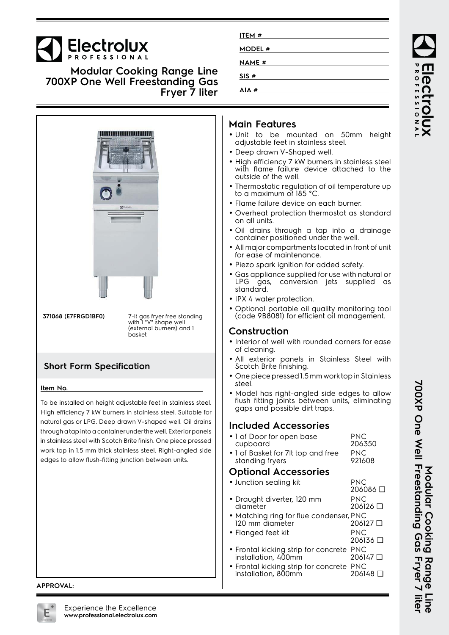# **Electrolux**

**Modular Cooking Range Line 700XP One Well Freestanding Gas Fryer 7 liter**



## **Main Features**

**ITEM # MODEL # NAME # SIS # AIA #**

- Unit to be mounted on 50mm height adjustable feet in stainless steel.
- Deep drawn V-Shaped well.
- High efficiency 7 kW burners in stainless steel with flame failure device attached to the outside of the well.
- • Thermostatic regulation of oil temperature up to a maximum of 185 °C.
- Flame failure device on each burner.
- Overheat protection thermostat as standard on all units.
- Oil drains through a tap into a drainage container positioned under the well.
- • All major compartments located in front of unit for ease of maintenance.
- Piezo spark ignition for added safety.
- • Gas appliance supplied for use with natural or LPG gas, conversion jets supplied as standard.
- IPX 4 water protection.
- Optional portable oil quality monitoring tool (code 9B8081) for efficient oil management.

#### **Construction**

- Interior of well with rounded corners for ease of cleaning.
- • All exterior panels in Stainless Steel with Scotch Brite finishing.
- • One piece pressed 1.5 mm work top in Stainless steel.
- • Model has right-angled side edges to allow flush fitting joints between units, eliminating gaps and possible dirt traps.

#### **Included Accessories**

• 1 of Door for open base cupboard PNC 206350 • 1 of Basket for 7lt top and free standing fryers PNC 921608

#### **Optional Accessories**

| • Junction sealing kit                                          | PNC<br>206086 □               |
|-----------------------------------------------------------------|-------------------------------|
| • Draught diverter, 120 mm<br>diameter                          | <b>PNC</b><br>206126 □        |
| • Matching ring for flue condenser, PNC<br>120 mm diameter      | 206127 □                      |
| • Flanged feet kit                                              | <b>PNC</b><br>$206136$ $\Box$ |
| • Frontal kicking strip for concrete PNC<br>installation, 400mm | 206147 □                      |
| • Frontal kicking strip for concrete PNC<br>installation, 800mm | 206148 □                      |
|                                                                 |                               |

**APPROVAL:**



**700XP One Well Freestanding Gas Fryer 7 liter** 700XP One Well Freestanding Gas Fryer 7 liter Modular Cooking **Modular Cooking Range Line** Rang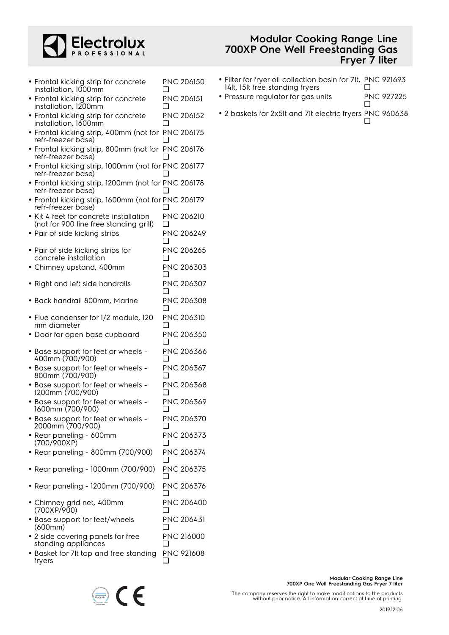

|                                        |  | <b>Modular Cooking Range Line</b> |  |
|----------------------------------------|--|-----------------------------------|--|
| <b>700XP One Well Freestanding Gas</b> |  |                                   |  |
|                                        |  | Fryer 7 liter                     |  |

| • Frontal kicking strip for concrete<br>installation, 1000mm                     | ப   | <b>PNC 206150</b> |
|----------------------------------------------------------------------------------|-----|-------------------|
| • Frontal kicking strip for concrete<br>installation, 1200mm                     |     | <b>PNC 206151</b> |
| • Frontal kicking strip for concrete<br>installation, 1600mm                     |     | PNC 206152        |
| • Frontal kicking strip, 400mm (not for PNC 206175<br>refr-freezer base)         |     |                   |
| • Frontal kicking strip, 800mm (not for PNC 206176<br>refr-freezer base)         |     |                   |
| · Frontal kicking strip, 1000mm (not for PNC 206177<br>refr-freezer base)        |     |                   |
| • Frontal kicking strip, 1200mm (not for PNC 206178<br>refr-freezer base)        |     |                   |
| • Frontal kicking strip, 1600mm (not for PNC 206179<br>refr-freezer base)        |     |                   |
| • Kit 4 feet for concrete installation<br>(not for 900 line free standing grill) | ∩   | PNC 206210        |
| • Pair of side kicking strips                                                    |     | PNC 206249        |
| • Pair of side kicking strips for                                                |     | PNC 206265        |
| concrete installation<br>• Chimney upstand, 400mm                                |     | PNC 206303        |
| • Right and left side handrails                                                  |     | PNC 206307        |
| · Back handrail 800mm, Marine                                                    | H   | PNC 206308        |
| • Flue condenser for 1/2 module, 120<br>mm diameter                              | ∣ 1 | <b>PNC 206310</b> |
| • Door for open base cupboard                                                    |     | <b>PNC 206350</b> |
| · Base support for feet or wheels -<br>400mm (700/900)                           | l 1 | PNC 206366        |
| • Base support for feet or wheels -<br>800mm (700/900)                           | ∣ 1 | PNC 206367        |
| · Base support for feet or wheels -<br>1200mm (700/900)                          |     | PNC 206368        |
| • Base support for feet or wheels -<br>1600mm (700/900)                          | ப   | PNC 206369        |
| • Base support for feet or wheels -<br>2000mm (700/900)                          |     | PNC 206370        |
| • Rear paneling - 600mm<br>(700/900XP)                                           | ப   | PNC 206373        |
| • Rear paneling - 800mm (700/900)                                                | ப   | PNC 206374        |
| • Rear paneling - 1000mm (700/900)                                               |     | PNC 206375        |
| • Rear paneling - 1200mm (700/900)                                               | ப   | PNC 206376        |
| • Chimney grid net, 400mm<br>(700XP/900)                                         | ப   | PNC 206400        |
| · Base support for feet/wheels<br>(600mm)                                        | ப   | PNC 206431        |
| • 2 side covering panels for free<br>standing appliances                         | ப   | PNC 216000        |
| • Basket for 7It top and free standing<br>fryers                                 |     | PNC 921608        |

- Filter for fryer oil collection basin for 7lt, 14lt, 15lt free standing fryers PNC 921693 ❑
- Pressure regulator for gas units PNC 927225  $\Box$
- 2 baskets for 2x5lt and 7lt electric fryers PNC 960638  $\Box$

The company reserves the right to make modifications to the products without prior notice. All information correct at time of printing.